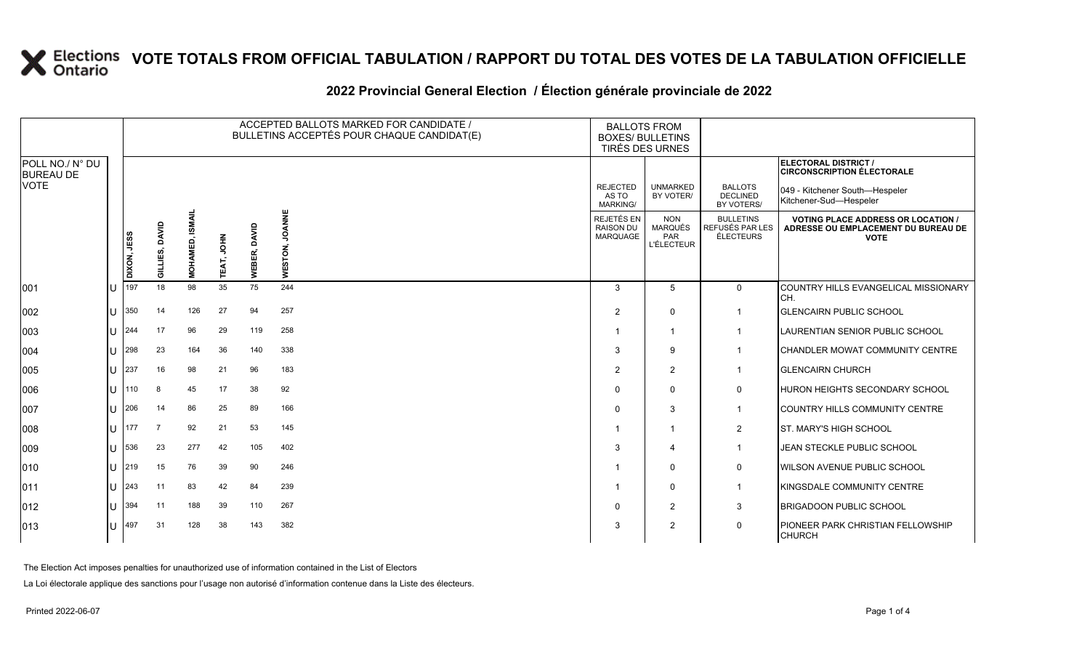### **2022 Provincial General Election / Élection générale provinciale de 2022**

|                                     |     | ACCEPTED BALLOTS MARKED FOR CANDIDATE /<br>BULLETINS ACCEPTÉS POUR CHAQUE CANDIDAT(E) |                |                        |                  |                 |                          | <b>BALLOTS FROM</b><br><b>BOXES/ BULLETINS</b><br>TIRÉS DES URNES |                                                          |                                                  |                                                                                                 |
|-------------------------------------|-----|---------------------------------------------------------------------------------------|----------------|------------------------|------------------|-----------------|--------------------------|-------------------------------------------------------------------|----------------------------------------------------------|--------------------------------------------------|-------------------------------------------------------------------------------------------------|
| POLL NO./ N° DU<br><b>BUREAU DE</b> |     |                                                                                       |                |                        |                  |                 |                          |                                                                   |                                                          |                                                  | ELECTORAL DISTRICT /<br><b>CIRCONSCRIPTION ÉLECTORALE</b>                                       |
| VOTE                                |     |                                                                                       |                |                        |                  |                 |                          | <b>REJECTED</b><br>AS TO<br><b>MARKING/</b>                       | <b>UNMARKED</b><br>BY VOTER/                             | <b>BALLOTS</b><br><b>DECLINED</b><br>BY VOTERS/  | 049 - Kitchener South-Hespeler<br>Kitchener-Sud-Hespeler                                        |
|                                     |     | DIXON, JESS                                                                           | GILLIES, DAVID | <b>MOHAMED, ISMAIL</b> | <b>NHOL</b><br>₹ | DAVID<br>WEBER, | <b>JOANNE</b><br>WESTON, | REJETÉS EN<br>RAISON DU<br>MARQUAGE                               | <b>NON</b><br><b>MARQUÉS</b><br>PAR<br><b>L'ÉLECTEUR</b> | <b>BULLETINS</b><br>REFUSÉS PAR LES<br>ÉLECTEURS | <b>VOTING PLACE ADDRESS OR LOCATION /</b><br>ADRESSE OU EMPLACEMENT DU BUREAU DE<br><b>VOTE</b> |
| 001                                 | ПJ  | 197                                                                                   | 18             | 98                     | 35               | 75              | 244                      | 3                                                                 | 5                                                        | $\overline{0}$                                   | COUNTRY HILLS EVANGELICAL MISSIONARY<br>CH.                                                     |
| 002                                 | ЦJ  | 350                                                                                   | 14             | 126                    | 27               | 94              | 257                      | 2                                                                 | $\Omega$                                                 | $\mathbf{1}$                                     | <b>GLENCAIRN PUBLIC SCHOOL</b>                                                                  |
| 003                                 | ΙU  | 244                                                                                   | 17             | 96                     | 29               | 119             | 258                      |                                                                   | $\mathbf 1$                                              | $\mathbf{1}$                                     | <b>LAURENTIAN SENIOR PUBLIC SCHOOL</b>                                                          |
| 004                                 | ПJ  | 298                                                                                   | 23             | 164                    | 36               | 140             | 338                      | 3                                                                 | 9                                                        | $\mathbf 1$                                      | CHANDLER MOWAT COMMUNITY CENTRE                                                                 |
| 005                                 | lU. | 237                                                                                   | 16             | 98                     | 21               | 96              | 183                      | $\overline{2}$                                                    | 2                                                        | $\mathbf{1}$                                     | <b>GLENCAIRN CHURCH</b>                                                                         |
| 006                                 | U   | 110                                                                                   | 8              | 45                     | 17               | 38              | 92                       | $\Omega$                                                          | $\Omega$                                                 | 0                                                | <b>HURON HEIGHTS SECONDARY SCHOOL</b>                                                           |
| 007                                 | U   | 206                                                                                   | 14             | 86                     | 25               | 89              | 166                      | $\Omega$                                                          | 3                                                        | $\mathbf{1}$                                     | COUNTRY HILLS COMMUNITY CENTRE                                                                  |
| 008                                 | U   | 177                                                                                   | $\overline{7}$ | 92                     | 21               | 53              | 145                      |                                                                   | $\mathbf 1$                                              | $\overline{2}$                                   | <b>ST. MARY'S HIGH SCHOOL</b>                                                                   |
| 009                                 | ПJ  | 536                                                                                   | 23             | 277                    | 42               | 105             | 402                      | 3                                                                 | $\overline{4}$                                           | $\mathbf{1}$                                     | JEAN STECKLE PUBLIC SCHOOL                                                                      |
| 010                                 | U   | 219                                                                                   | 15             | 76                     | 39               | 90              | 246                      | -1                                                                | $\Omega$                                                 | 0                                                | <b>WILSON AVENUE PUBLIC SCHOOL</b>                                                              |
| 011                                 | ΙU  | 243                                                                                   | 11             | 83                     | 42               | 84              | 239                      | -1                                                                | $\Omega$                                                 | $\mathbf{1}$                                     | <b>KINGSDALE COMMUNITY CENTRE</b>                                                               |
| 012                                 | ПJ  | 394                                                                                   | 11             | 188                    | 39               | 110             | 267                      | $\Omega$                                                          | 2                                                        | 3                                                | <b>BRIGADOON PUBLIC SCHOOL</b>                                                                  |
| 013                                 | ПT  | 497                                                                                   | 31             | 128                    | 38               | 143             | 382                      | 3                                                                 | 2                                                        | $\mathbf 0$                                      | <b>PIONEER PARK CHRISTIAN FELLOWSHIP</b><br><b>CHURCH</b>                                       |

The Election Act imposes penalties for unauthorized use of information contained in the List of Electors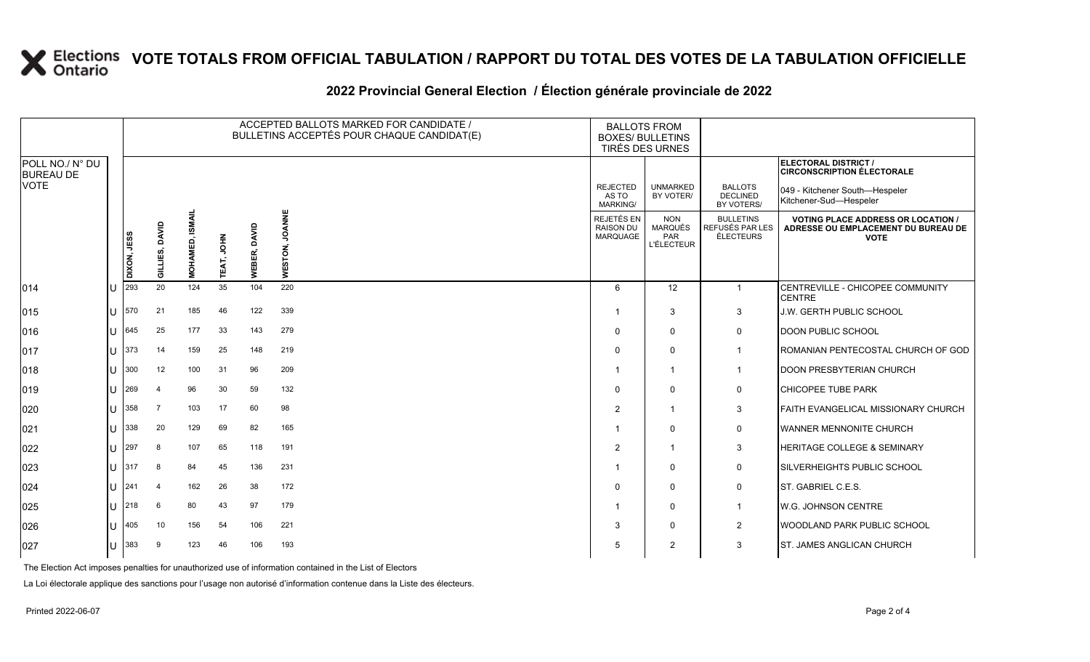### **2022 Provincial General Election / Élection générale provinciale de 2022**

|                                     |                |             | ACCEPTED BALLOTS MARKED FOR CANDIDATE /<br><b>BALLOTS FROM</b><br>BULLETINS ACCEPTÉS POUR CHAQUE CANDIDAT(E)<br><b>BOXES/ BULLETINS</b><br>TIRÉS DES URNES |                          |            |              |                          |                                                   |                                                   |                                                  |                                                                                                 |
|-------------------------------------|----------------|-------------|------------------------------------------------------------------------------------------------------------------------------------------------------------|--------------------------|------------|--------------|--------------------------|---------------------------------------------------|---------------------------------------------------|--------------------------------------------------|-------------------------------------------------------------------------------------------------|
| POLL NO./ N° DU<br><b>BUREAU DE</b> |                |             |                                                                                                                                                            |                          |            |              |                          |                                                   |                                                   |                                                  | <b>ELECTORAL DISTRICT /</b><br><b>CIRCONSCRIPTION ÉLECTORALE</b>                                |
| <b>VOTE</b>                         |                |             |                                                                                                                                                            |                          |            |              |                          | <b>REJECTED</b><br>AS TO<br>MARKING/              | <b>UNMARKED</b><br>BY VOTER/                      | <b>BALLOTS</b><br><b>DECLINED</b><br>BY VOTERS/  | 049 - Kitchener South-Hespeler<br>Kitchener-Sud-Hespeler                                        |
|                                     |                | DIXON, JESS | DAVID<br>GILLIES,                                                                                                                                          | SMAIL<br><b>MOHAMED,</b> | TEAT, JOHN | WEBER, DAVID | <b>JOANNE</b><br>WESTON, | REJETÉS EN<br><b>RAISON DU</b><br><b>MARQUAGE</b> | <b>NON</b><br>MARQUÉS<br>PAR<br><b>L'ÉLECTEUR</b> | <b>BULLETINS</b><br>REFUSÉS PAR LES<br>ÉLECTEURS | <b>VOTING PLACE ADDRESS OR LOCATION /</b><br>ADRESSE OU EMPLACEMENT DU BUREAU DE<br><b>VOTE</b> |
| 014                                 |                | 293         | 20                                                                                                                                                         | 124                      | 35         | 104          | 220                      | 6                                                 | 12                                                | $\mathbf{1}$                                     | CENTREVILLE - CHICOPEE COMMUNITY<br><b>CENTRE</b>                                               |
| 015                                 | $\mathbf{L}$   | 570         | 21                                                                                                                                                         | 185                      | 46         | 122          | 339                      | -1                                                | 3                                                 | 3                                                | J.W. GERTH PUBLIC SCHOOL                                                                        |
| 016                                 |                | 645         | 25                                                                                                                                                         | 177                      | 33         | 143          | 279                      | $\Omega$                                          | $\mathbf{0}$                                      | 0                                                | DOON PUBLIC SCHOOL                                                                              |
| 017                                 | $\mathbf{L}$   | 373         | 14                                                                                                                                                         | 159                      | 25         | 148          | 219                      | $\Omega$                                          | $\mathbf 0$                                       | $\mathbf{1}$                                     | ROMANIAN PENTECOSTAL CHURCH OF GOD                                                              |
| 018                                 | $\blacksquare$ | 300         | 12                                                                                                                                                         | 100                      | -31        | 96           | 209                      | -1                                                | -1                                                | $\mathbf{1}$                                     | <b>DOON PRESBYTERIAN CHURCH</b>                                                                 |
| 019                                 |                | 269         | $\overline{4}$                                                                                                                                             | 96                       | 30         | 59           | 132                      | $\Omega$                                          | $\Omega$                                          | $\mathbf 0$                                      | <b>CHICOPEE TUBE PARK</b>                                                                       |
| 020                                 |                | 358         | $\overline{7}$                                                                                                                                             | 103                      | 17         | 60           | 98                       | $\overline{2}$                                    | -1                                                | 3                                                | FAITH EVANGELICAL MISSIONARY CHURCH                                                             |
| 021                                 |                | 338         | 20                                                                                                                                                         | 129                      | 69         | 82           | 165                      |                                                   | $\mathbf{0}$                                      | 0                                                | WANNER MENNONITE CHURCH                                                                         |
| 022                                 |                | 297         | 8                                                                                                                                                          | 107                      | 65         | 118          | 191                      | 2                                                 | -1                                                | 3                                                | HERITAGE COLLEGE & SEMINARY                                                                     |
| 023                                 | $\mathbf{H}$   | 317         | 8                                                                                                                                                          | 84                       | 45         | 136          | 231                      |                                                   | $\Omega$                                          | 0                                                | SILVERHEIGHTS PUBLIC SCHOOL                                                                     |
| 024                                 | $\mathbf{L}$   | 241         | 4                                                                                                                                                          | 162                      | 26         | 38           | 172                      | $\Omega$                                          | $\mathbf{0}$                                      | 0                                                | ST. GABRIEL C.E.S.                                                                              |
| 025                                 | $\mathbf{L}$   | 218         | 6                                                                                                                                                          | 80                       | 43         | 97           | 179                      | -1                                                | $\Omega$                                          | $\mathbf{1}$                                     | W.G. JOHNSON CENTRE                                                                             |
| 026                                 |                | 405         | 10                                                                                                                                                         | 156                      | 54         | 106          | 221                      | 3                                                 | $\Omega$                                          | $\overline{2}$                                   | WOODLAND PARK PUBLIC SCHOOL                                                                     |
| 027                                 |                | 383         | 9                                                                                                                                                          | 123                      | 46         | 106          | 193                      | 5                                                 | 2                                                 | 3                                                | ST. JAMES ANGLICAN CHURCH                                                                       |

The Election Act imposes penalties for unauthorized use of information contained in the List of Electors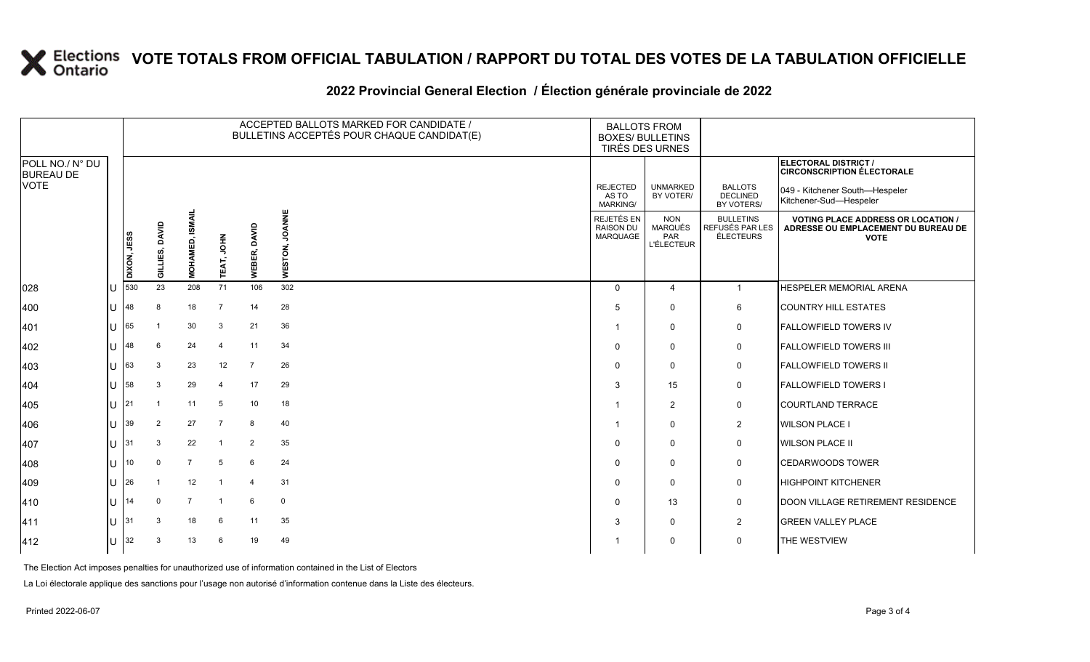### **2022 Provincial General Election / Élection générale provinciale de 2022**

|                                     |    |             | ACCEPTED BALLOTS MARKED FOR CANDIDATE /<br><b>BALLOTS FROM</b><br>BULLETINS ACCEPTÉS POUR CHAQUE CANDIDAT(E)<br><b>BOXES/ BULLETINS</b><br>TIRÉS DES URNES |                |                   |                |                          |                                            |                                                          |                                                  |                                                                                                 |
|-------------------------------------|----|-------------|------------------------------------------------------------------------------------------------------------------------------------------------------------|----------------|-------------------|----------------|--------------------------|--------------------------------------------|----------------------------------------------------------|--------------------------------------------------|-------------------------------------------------------------------------------------------------|
| POLL NO./ N° DU<br><b>BUREAU DE</b> |    |             |                                                                                                                                                            |                |                   |                |                          |                                            |                                                          |                                                  | ELECTORAL DISTRICT /<br><b>CIRCONSCRIPTION ÉLECTORALE</b>                                       |
| <b>VOTE</b>                         |    |             |                                                                                                                                                            |                |                   |                |                          | <b>REJECTED</b><br>AS TO<br>MARKING/       | <b>UNMARKED</b><br>BY VOTER/                             | <b>BALLOTS</b><br><b>DECLINED</b><br>BY VOTERS/  | 049 - Kitchener South-Hespeler<br>Kitchener-Sud-Hespeler                                        |
|                                     |    | DIXON, JESS | GILLIES, DAVID                                                                                                                                             | MOHAMED, ISI   | <b>TEAT, JOHN</b> | WEBER, DAVID   | <b>JOANNE</b><br>WESTON, | REJETÉS EN<br><b>RAISON DU</b><br>MARQUAGE | <b>NON</b><br><b>MARQUÉS</b><br>PAR<br><b>L'ÉLECTEUR</b> | <b>BULLETINS</b><br>REFUSÉS PAR LES<br>ÉLECTEURS | <b>VOTING PLACE ADDRESS OR LOCATION /</b><br>ADRESSE OU EMPLACEMENT DU BUREAU DE<br><b>VOTE</b> |
| 028                                 |    | 530         | 23                                                                                                                                                         | 208            | 71                | 106            | 302                      | $\Omega$                                   | 4                                                        | $\mathbf{1}$                                     | HESPELER MEMORIAL ARENA                                                                         |
| 400                                 |    | 48          | 8                                                                                                                                                          | 18             | $\overline{7}$    | 14             | 28                       | 5                                          | $\Omega$                                                 | 6                                                | <b>COUNTRY HILL ESTATES</b>                                                                     |
| 401                                 |    | 65          | - 1                                                                                                                                                        | 30             | 3                 | 21             | 36                       | -1                                         | $\Omega$                                                 | $\mathbf 0$                                      | <b>FALLOWFIELD TOWERS IV</b>                                                                    |
| 402                                 |    | 48          | 6                                                                                                                                                          | 24             | $\overline{4}$    | 11             | 34                       | $\Omega$                                   | $\Omega$                                                 | $\mathbf 0$                                      | <b>FALLOWFIELD TOWERS III</b>                                                                   |
| 403                                 | U  | 63          | 3                                                                                                                                                          | 23             | 12                | $\overline{7}$ | 26                       | $\Omega$                                   | $\Omega$                                                 | $\mathbf 0$                                      | <b>FALLOWFIELD TOWERS II</b>                                                                    |
| 404                                 | U  | 58          | 3                                                                                                                                                          | 29             | $\overline{4}$    | 17             | 29                       | 3                                          | 15                                                       | $\mathbf 0$                                      | <b>FALLOWFIELD TOWERS I</b>                                                                     |
| 405                                 |    | 21          | $\overline{1}$                                                                                                                                             | 11             | 5                 | 10             | 18                       |                                            | 2                                                        | $\mathbf 0$                                      | <b>COURTLAND TERRACE</b>                                                                        |
| 406                                 | U  | 39          | $\overline{2}$                                                                                                                                             | 27             | $\overline{7}$    | 8              | 40                       | -1                                         | $\Omega$                                                 | $\overline{2}$                                   | <b>WILSON PLACE I</b>                                                                           |
| 407                                 |    | $11$ 31     | 3                                                                                                                                                          | 22             | $\overline{1}$    | 2              | 35                       | $\Omega$                                   | $\Omega$                                                 | $\mathbf 0$                                      | <b>WILSON PLACE II</b>                                                                          |
| 408                                 |    | 10          | $\mathbf 0$                                                                                                                                                | $\overline{7}$ | 5                 | 6              | 24                       | $\Omega$                                   | $\Omega$                                                 | $\mathbf 0$                                      | <b>CEDARWOODS TOWER</b>                                                                         |
| 409                                 | U  | 26          | - 1                                                                                                                                                        | 12             | $\overline{1}$    | $\overline{4}$ | 31                       | $\Omega$                                   | $\Omega$                                                 | $\mathbf 0$                                      | <b>HIGHPOINT KITCHENER</b>                                                                      |
| 410                                 | H. | 14          | $\Omega$                                                                                                                                                   | $\overline{7}$ | $\overline{1}$    | 6              | $\mathbf 0$              | $\Omega$                                   | 13                                                       | 0                                                | <b>DOON VILLAGE RETIREMENT RESIDENCE</b>                                                        |
| 411                                 |    | 31          | 3                                                                                                                                                          | 18             | 6                 | 11             | 35                       | 3                                          | $\Omega$                                                 | $\overline{c}$                                   | <b>GREEN VALLEY PLACE</b>                                                                       |
| 412                                 |    | U $ 32 $    | 3                                                                                                                                                          | 13             | 6                 | 19             | 49                       |                                            | $\mathbf{0}$                                             | 0                                                | THE WESTVIEW                                                                                    |

The Election Act imposes penalties for unauthorized use of information contained in the List of Electors